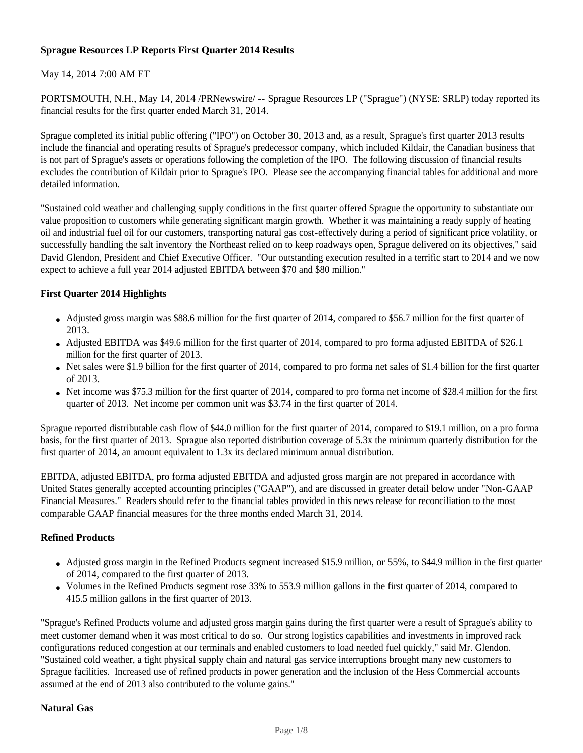# **Sprague Resources LP Reports First Quarter 2014 Results**

# May 14, 2014 7:00 AM ET

PORTSMOUTH, N.H., May 14, 2014 /PRNewswire/ -- Sprague Resources LP ("Sprague") (NYSE: SRLP) today reported its financial results for the first quarter ended March 31, 2014.

Sprague completed its initial public offering ("IPO") on October 30, 2013 and, as a result, Sprague's first quarter 2013 results include the financial and operating results of Sprague's predecessor company, which included Kildair, the Canadian business that is not part of Sprague's assets or operations following the completion of the IPO. The following discussion of financial results excludes the contribution of Kildair prior to Sprague's IPO. Please see the accompanying financial tables for additional and more detailed information.

"Sustained cold weather and challenging supply conditions in the first quarter offered Sprague the opportunity to substantiate our value proposition to customers while generating significant margin growth. Whether it was maintaining a ready supply of heating oil and industrial fuel oil for our customers, transporting natural gas cost-effectively during a period of significant price volatility, or successfully handling the salt inventory the Northeast relied on to keep roadways open, Sprague delivered on its objectives," said David Glendon, President and Chief Executive Officer. "Our outstanding execution resulted in a terrific start to 2014 and we now expect to achieve a full year 2014 adjusted EBITDA between \$70 and \$80 million."

## **First Quarter 2014 Highlights**

- Adjusted gross margin was \$88.6 million for the first quarter of 2014, compared to \$56.7 million for the first quarter of 2013.
- Adjusted EBITDA was \$49.6 million for the first quarter of 2014, compared to pro forma adjusted EBITDA of \$26.1 million for the first quarter of 2013.
- Net sales were \$1.9 billion for the first quarter of 2014, compared to pro forma net sales of \$1.4 billion for the first quarter of 2013.
- Net income was \$75.3 million for the first quarter of 2014, compared to pro forma net income of \$28.4 million for the first quarter of 2013. Net income per common unit was \$3.74 in the first quarter of 2014.

Sprague reported distributable cash flow of \$44.0 million for the first quarter of 2014, compared to \$19.1 million, on a pro forma basis, for the first quarter of 2013. Sprague also reported distribution coverage of 5.3x the minimum quarterly distribution for the first quarter of 2014, an amount equivalent to 1.3x its declared minimum annual distribution.

EBITDA, adjusted EBITDA, pro forma adjusted EBITDA and adjusted gross margin are not prepared in accordance with United States generally accepted accounting principles ("GAAP"), and are discussed in greater detail below under "Non-GAAP Financial Measures." Readers should refer to the financial tables provided in this news release for reconciliation to the most comparable GAAP financial measures for the three months ended March 31, 2014.

## **Refined Products**

- Adjusted gross margin in the Refined Products segment increased \$15.9 million, or 55%, to \$44.9 million in the first quarter of 2014, compared to the first quarter of 2013.
- Volumes in the Refined Products segment rose 33% to 553.9 million gallons in the first quarter of 2014, compared to 415.5 million gallons in the first quarter of 2013.

"Sprague's Refined Products volume and adjusted gross margin gains during the first quarter were a result of Sprague's ability to meet customer demand when it was most critical to do so. Our strong logistics capabilities and investments in improved rack configurations reduced congestion at our terminals and enabled customers to load needed fuel quickly," said Mr. Glendon. "Sustained cold weather, a tight physical supply chain and natural gas service interruptions brought many new customers to Sprague facilities. Increased use of refined products in power generation and the inclusion of the Hess Commercial accounts assumed at the end of 2013 also contributed to the volume gains."

## **Natural Gas**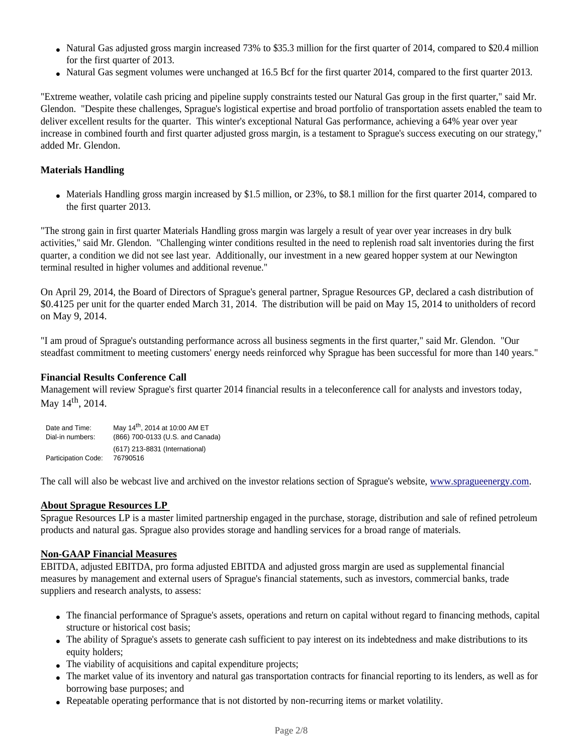- Natural Gas adjusted gross margin increased 73% to \$35.3 million for the first quarter of 2014, compared to \$20.4 million for the first quarter of 2013.
- Natural Gas segment volumes were unchanged at 16.5 Bcf for the first quarter 2014, compared to the first quarter 2013.

"Extreme weather, volatile cash pricing and pipeline supply constraints tested our Natural Gas group in the first quarter," said Mr. Glendon. "Despite these challenges, Sprague's logistical expertise and broad portfolio of transportation assets enabled the team to deliver excellent results for the quarter. This winter's exceptional Natural Gas performance, achieving a 64% year over year increase in combined fourth and first quarter adjusted gross margin, is a testament to Sprague's success executing on our strategy," added Mr. Glendon.

## **Materials Handling**

• Materials Handling gross margin increased by \$1.5 million, or 23%, to \$8.1 million for the first quarter 2014, compared to the first quarter 2013.

"The strong gain in first quarter Materials Handling gross margin was largely a result of year over year increases in dry bulk activities," said Mr. Glendon. "Challenging winter conditions resulted in the need to replenish road salt inventories during the first quarter, a condition we did not see last year. Additionally, our investment in a new geared hopper system at our Newington terminal resulted in higher volumes and additional revenue."

On April 29, 2014, the Board of Directors of Sprague's general partner, Sprague Resources GP, declared a cash distribution of \$0.4125 per unit for the quarter ended March 31, 2014. The distribution will be paid on May 15, 2014 to unitholders of record on May 9, 2014.

"I am proud of Sprague's outstanding performance across all business segments in the first quarter," said Mr. Glendon. "Our steadfast commitment to meeting customers' energy needs reinforced why Sprague has been successful for more than 140 years."

## **Financial Results Conference Call**

Management will review Sprague's first quarter 2014 financial results in a teleconference call for analysts and investors today, May 14<sup>th</sup>, 2014.

| Date and Time:             | May 14 <sup>th</sup> , 2014 at 10:00 AM ET |
|----------------------------|--------------------------------------------|
| Dial-in numbers:           | (866) 700-0133 (U.S. and Canada)           |
| <b>Participation Code:</b> | (617) 213-8831 (International)<br>76790516 |

The call will also be webcast live and archived on the investor relations section of Sprague's website, www.spragueenergy.com.

## **About Sprague Resources LP**

Sprague Resources LP is a master limited partnership engaged in the purchase, storage, distribution and sale of refined petroleum products and natural gas. Sprague also provides storage and handling services for a broad range of materials.

## **Non-GAAP Financial Measures**

EBITDA, adjusted EBITDA, pro forma adjusted EBITDA and adjusted gross margin are used as supplemental financial measures by management and external users of Sprague's financial statements, such as investors, commercial banks, trade suppliers and research analysts, to assess:

- The financial performance of Sprague's assets, operations and return on capital without regard to financing methods, capital structure or historical cost basis;
- The ability of Sprague's assets to generate cash sufficient to pay interest on its indebtedness and make distributions to its equity holders:
- The viability of acquisitions and capital expenditure projects;
- The market value of its inventory and natural gas transportation contracts for financial reporting to its lenders, as well as for borrowing base purposes; and
- Repeatable operating performance that is not distorted by non-recurring items or market volatility.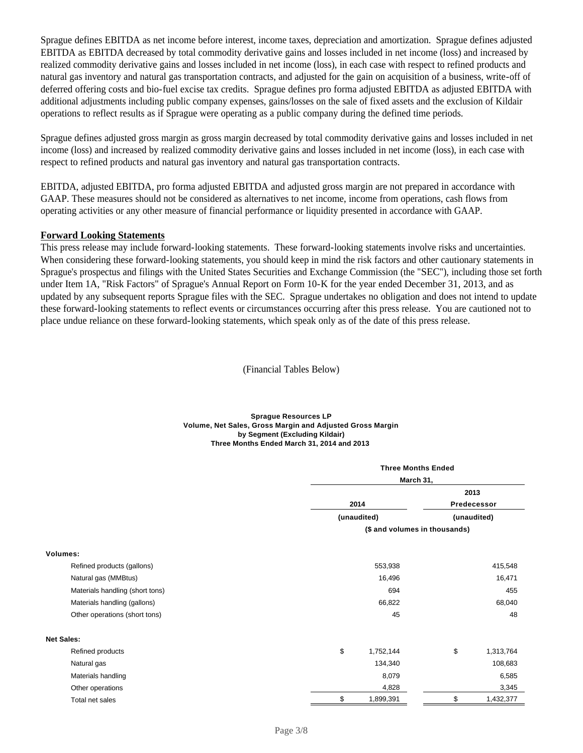Sprague defines EBITDA as net income before interest, income taxes, depreciation and amortization. Sprague defines adjusted EBITDA as EBITDA decreased by total commodity derivative gains and losses included in net income (loss) and increased by realized commodity derivative gains and losses included in net income (loss), in each case with respect to refined products and natural gas inventory and natural gas transportation contracts, and adjusted for the gain on acquisition of a business, write-off of deferred offering costs and bio-fuel excise tax credits. Sprague defines pro forma adjusted EBITDA as adjusted EBITDA with additional adjustments including public company expenses, gains/losses on the sale of fixed assets and the exclusion of Kildair operations to reflect results as if Sprague were operating as a public company during the defined time periods.

Sprague defines adjusted gross margin as gross margin decreased by total commodity derivative gains and losses included in net income (loss) and increased by realized commodity derivative gains and losses included in net income (loss), in each case with respect to refined products and natural gas inventory and natural gas transportation contracts.

EBITDA, adjusted EBITDA, pro forma adjusted EBITDA and adjusted gross margin are not prepared in accordance with GAAP. These measures should not be considered as alternatives to net income, income from operations, cash flows from operating activities or any other measure of financial performance or liquidity presented in accordance with GAAP.

## **Forward Looking Statements**

This press release may include forward-looking statements. These forward-looking statements involve risks and uncertainties. When considering these forward-looking statements, you should keep in mind the risk factors and other cautionary statements in Sprague's prospectus and filings with the United States Securities and Exchange Commission (the "SEC"), including those set forth under Item 1A, "Risk Factors" of Sprague's Annual Report on Form 10-K for the year ended December 31, 2013, and as updated by any subsequent reports Sprague files with the SEC. Sprague undertakes no obligation and does not intend to update these forward-looking statements to reflect events or circumstances occurring after this press release. You are cautioned not to place undue reliance on these forward-looking statements, which speak only as of the date of this press release.

(Financial Tables Below)

#### **Sprague Resources LP Volume, Net Sales, Gross Margin and Adjusted Gross Margin by Segment (Excluding Kildair) Three Months Ended March 31, 2014 and 2013**

|                                 |                 | <b>Three Months Ended</b>     |  |  |  |  |
|---------------------------------|-----------------|-------------------------------|--|--|--|--|
|                                 |                 | March 31,                     |  |  |  |  |
|                                 |                 | 2013                          |  |  |  |  |
|                                 | 2014            | Predecessor                   |  |  |  |  |
|                                 | (unaudited)     | (unaudited)                   |  |  |  |  |
|                                 |                 | (\$ and volumes in thousands) |  |  |  |  |
| Volumes:                        |                 |                               |  |  |  |  |
| Refined products (gallons)      | 553,938         | 415,548                       |  |  |  |  |
| Natural gas (MMBtus)            | 16,496          | 16,471                        |  |  |  |  |
| Materials handling (short tons) | 694             | 455                           |  |  |  |  |
| Materials handling (gallons)    | 66,822          | 68,040                        |  |  |  |  |
| Other operations (short tons)   | 45              | 48                            |  |  |  |  |
| <b>Net Sales:</b>               |                 |                               |  |  |  |  |
| Refined products                | \$<br>1,752,144 | \$<br>1,313,764               |  |  |  |  |
| Natural gas                     | 134,340         | 108,683                       |  |  |  |  |
| Materials handling              | 8,079           | 6,585                         |  |  |  |  |
| Other operations                | 4,828           | 3,345                         |  |  |  |  |
| Total net sales                 | \$<br>1,899,391 | \$<br>1,432,377               |  |  |  |  |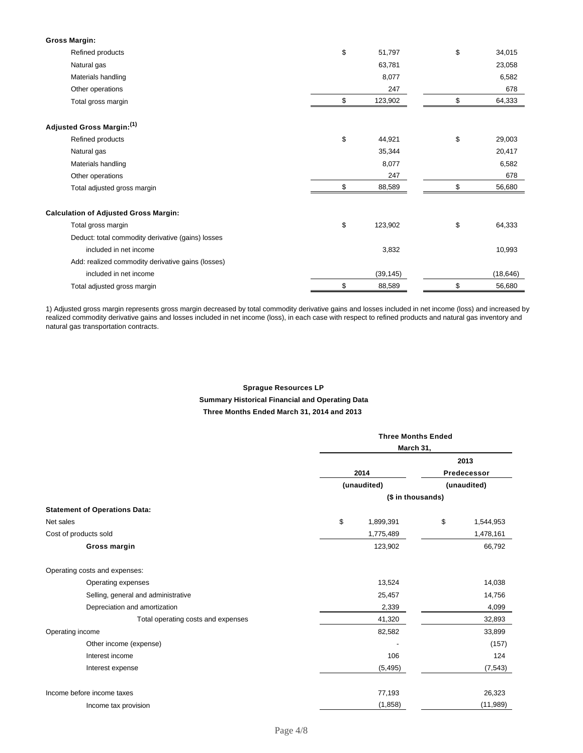| <b>Gross Margin:</b>                              |               |              |
|---------------------------------------------------|---------------|--------------|
| Refined products                                  | \$<br>51,797  | \$<br>34,015 |
| Natural gas                                       | 63,781        | 23,058       |
| Materials handling                                | 8,077         | 6,582        |
| Other operations                                  | 247           | 678          |
| Total gross margin                                | \$<br>123,902 | \$<br>64,333 |
| Adjusted Gross Margin:(1)                         |               |              |
| Refined products                                  | \$<br>44,921  | \$<br>29,003 |
| Natural gas                                       | 35,344        | 20,417       |
| Materials handling                                | 8,077         | 6,582        |
| Other operations                                  | 247           | 678          |
| Total adjusted gross margin                       | \$<br>88,589  | \$<br>56,680 |
| <b>Calculation of Adjusted Gross Margin:</b>      |               |              |
| Total gross margin                                | \$<br>123,902 | \$<br>64,333 |
| Deduct: total commodity derivative (gains) losses |               |              |
| included in net income                            | 3,832         | 10,993       |
| Add: realized commodity derivative gains (losses) |               |              |
| included in net income                            | (39, 145)     | (18, 646)    |
| Total adjusted gross margin                       | \$<br>88,589  | \$<br>56,680 |

1) Adjusted gross margin represents gross margin decreased by total commodity derivative gains and losses included in net income (loss) and increased by realized commodity derivative gains and losses included in net income (loss), in each case with respect to refined products and natural gas inventory and natural gas transportation contracts.

## **Sprague Resources LP Summary Historical Financial and Operating Data**

#### **Three Months Ended March 31, 2014 and 2013**

|                                      | <b>Three Months Ended</b> |                   |    |             |
|--------------------------------------|---------------------------|-------------------|----|-------------|
|                                      |                           | March 31,         |    |             |
|                                      |                           |                   |    | 2013        |
|                                      |                           | 2014              |    | Predecessor |
|                                      |                           | (unaudited)       |    | (unaudited) |
|                                      |                           | (\$ in thousands) |    |             |
| <b>Statement of Operations Data:</b> |                           |                   |    |             |
| Net sales                            | \$                        | 1,899,391         | \$ | 1,544,953   |
| Cost of products sold                |                           | 1,775,489         |    | 1,478,161   |
| Gross margin                         |                           | 123,902           |    | 66,792      |
| Operating costs and expenses:        |                           |                   |    |             |
| Operating expenses                   |                           | 13,524            |    | 14,038      |
| Selling, general and administrative  |                           | 25,457            |    | 14,756      |
| Depreciation and amortization        |                           | 2,339             |    | 4,099       |
| Total operating costs and expenses   |                           | 41,320            |    | 32,893      |
| Operating income                     |                           | 82,582            |    | 33,899      |
| Other income (expense)               |                           |                   |    | (157)       |
| Interest income                      |                           | 106               |    | 124         |
| Interest expense                     |                           | (5, 495)          |    | (7, 543)    |
| Income before income taxes           |                           | 77,193            |    | 26,323      |
| Income tax provision                 |                           | (1,858)           |    | (11, 989)   |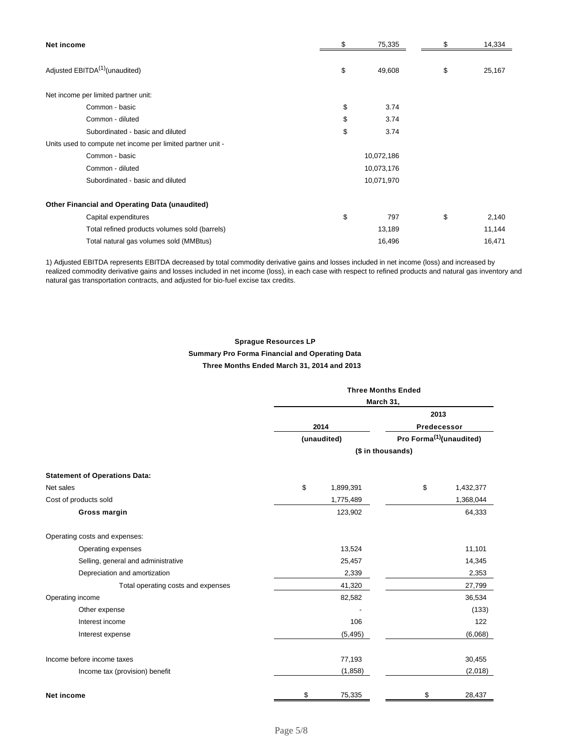| Net income                                                  | \$<br>75,335 | \$<br>14,334 |
|-------------------------------------------------------------|--------------|--------------|
|                                                             |              |              |
| Adjusted EBITDA <sup>(1)</sup> (unaudited)                  | \$<br>49,608 | \$<br>25,167 |
| Net income per limited partner unit:                        |              |              |
| Common - basic                                              | \$<br>3.74   |              |
| Common - diluted                                            | \$<br>3.74   |              |
| Subordinated - basic and diluted                            | \$<br>3.74   |              |
| Units used to compute net income per limited partner unit - |              |              |
| Common - basic                                              | 10,072,186   |              |
| Common - diluted                                            | 10,073,176   |              |
| Subordinated - basic and diluted                            | 10,071,970   |              |
| Other Financial and Operating Data (unaudited)              |              |              |
| Capital expenditures                                        | \$<br>797    | \$<br>2,140  |
| Total refined products volumes sold (barrels)               | 13,189       | 11,144       |
| Total natural gas volumes sold (MMBtus)                     | 16,496       | 16,471       |

1) Adjusted EBITDA represents EBITDA decreased by total commodity derivative gains and losses included in net income (loss) and increased by realized commodity derivative gains and losses included in net income (loss), in each case with respect to refined products and natural gas inventory and natural gas transportation contracts, and adjusted for bio-fuel excise tax credits.

## **Sprague Resources LP**

### **Summary Pro Forma Financial and Operating Data**

## **Three Months Ended March 31, 2014 and 2013**

|                                      | <b>Three Months Ended</b><br>March 31,              |                   |             |           |  |  |
|--------------------------------------|-----------------------------------------------------|-------------------|-------------|-----------|--|--|
|                                      |                                                     |                   | 2013        |           |  |  |
|                                      |                                                     | 2014              | Predecessor |           |  |  |
|                                      | Pro Forma <sup>(1)</sup> (unaudited)<br>(unaudited) |                   |             |           |  |  |
|                                      |                                                     | (\$ in thousands) |             |           |  |  |
| <b>Statement of Operations Data:</b> |                                                     |                   |             |           |  |  |
| Net sales                            | \$                                                  | 1,899,391         | \$          | 1,432,377 |  |  |
| Cost of products sold                |                                                     | 1,775,489         |             | 1,368,044 |  |  |
| Gross margin                         |                                                     | 123,902           |             | 64,333    |  |  |
| Operating costs and expenses:        |                                                     |                   |             |           |  |  |
| Operating expenses                   |                                                     | 13,524            |             | 11,101    |  |  |
| Selling, general and administrative  |                                                     | 25,457            |             | 14,345    |  |  |
| Depreciation and amortization        |                                                     | 2,339             |             | 2,353     |  |  |
| Total operating costs and expenses   |                                                     | 41,320            |             | 27,799    |  |  |
| Operating income                     |                                                     | 82,582            |             | 36,534    |  |  |
| Other expense                        |                                                     |                   |             | (133)     |  |  |
| Interest income                      |                                                     | 106               |             | 122       |  |  |
| Interest expense                     |                                                     | (5, 495)          |             | (6,068)   |  |  |
| Income before income taxes           |                                                     | 77,193            |             | 30,455    |  |  |
| Income tax (provision) benefit       |                                                     | (1,858)           |             | (2,018)   |  |  |
| <b>Net income</b>                    | \$                                                  | 75,335            | \$          | 28,437    |  |  |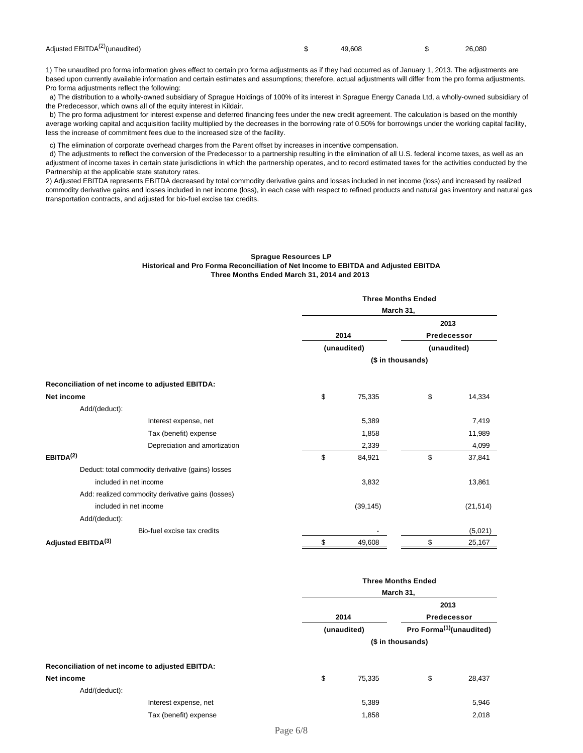| Adjusted EBITDA <sup>(2)</sup> (unaudited) | $\frac{1}{2}$ 49.608 | $\frac{1}{26,080}$ |  |
|--------------------------------------------|----------------------|--------------------|--|
|                                            |                      |                    |  |

1) The unaudited pro forma information gives effect to certain pro forma adjustments as if they had occurred as of January 1, 2013. The adjustments are based upon currently available information and certain estimates and assumptions; therefore, actual adjustments will differ from the pro forma adjustments. Pro forma adjustments reflect the following:

 a) The distribution to a wholly-owned subsidiary of Sprague Holdings of 100% of its interest in Sprague Energy Canada Ltd, a wholly-owned subsidiary of the Predecessor, which owns all of the equity interest in Kildair.

 b) The pro forma adjustment for interest expense and deferred financing fees under the new credit agreement. The calculation is based on the monthly average working capital and acquisition facility multiplied by the decreases in the borrowing rate of 0.50% for borrowings under the working capital facility, less the increase of commitment fees due to the increased size of the facility.

c) The elimination of corporate overhead charges from the Parent offset by increases in incentive compensation.

 d) The adjustments to reflect the conversion of the Predecessor to a partnership resulting in the elimination of all U.S. federal income taxes, as well as an adjustment of income taxes in certain state jurisdictions in which the partnership operates, and to record estimated taxes for the activities conducted by the Partnership at the applicable state statutory rates.

2) Adjusted EBITDA represents EBITDA decreased by total commodity derivative gains and losses included in net income (loss) and increased by realized commodity derivative gains and losses included in net income (loss), in each case with respect to refined products and natural gas inventory and natural gas transportation contracts, and adjusted for bio-fuel excise tax credits.

#### **Sprague Resources LP Historical and Pro Forma Reconciliation of Net Income to EBITDA and Adjusted EBITDA Three Months Ended March 31, 2014 and 2013**

|                                                   | <b>Three Months Ended</b><br>March 31, |                   |             |           |
|---------------------------------------------------|----------------------------------------|-------------------|-------------|-----------|
|                                                   |                                        |                   |             |           |
|                                                   |                                        |                   | 2013        |           |
|                                                   | 2014                                   |                   | Predecessor |           |
|                                                   |                                        | (unaudited)       | (unaudited) |           |
|                                                   |                                        | (\$ in thousands) |             |           |
| Reconciliation of net income to adjusted EBITDA:  |                                        |                   |             |           |
| <b>Net income</b>                                 | \$                                     | 75,335            | \$          | 14,334    |
| Add/(deduct):                                     |                                        |                   |             |           |
| Interest expense, net                             |                                        | 5,389             |             | 7,419     |
| Tax (benefit) expense                             |                                        | 1,858             |             | 11,989    |
| Depreciation and amortization                     |                                        | 2,339             |             | 4,099     |
| EBITDA <sup>(2)</sup>                             | \$                                     | 84,921            | \$          | 37,841    |
| Deduct: total commodity derivative (gains) losses |                                        |                   |             |           |
| included in net income                            |                                        | 3,832             |             | 13,861    |
| Add: realized commodity derivative gains (losses) |                                        |                   |             |           |
| included in net income                            |                                        | (39, 145)         |             | (21, 514) |
| Add/(deduct):                                     |                                        |                   |             |           |
| Bio-fuel excise tax credits                       |                                        |                   |             | (5,021)   |
| Adjusted EBITDA <sup>(3)</sup>                    | \$                                     | 49,608            | \$          | 25,167    |

|                                                  |                       |    | <b>Three Months Ended</b><br>March 31, |                                      |        |  |
|--------------------------------------------------|-----------------------|----|----------------------------------------|--------------------------------------|--------|--|
|                                                  |                       |    |                                        |                                      |        |  |
|                                                  |                       |    |                                        | 2013                                 |        |  |
|                                                  |                       |    | 2014                                   | Predecessor                          |        |  |
|                                                  |                       |    | (unaudited)                            | Pro Forma <sup>(1)</sup> (unaudited) |        |  |
|                                                  |                       |    |                                        |                                      |        |  |
| Reconciliation of net income to adjusted EBITDA: |                       |    |                                        |                                      |        |  |
| Net income                                       |                       | \$ | 75,335                                 | \$                                   | 28,437 |  |
| Add/(deduct):                                    |                       |    |                                        |                                      |        |  |
|                                                  | Interest expense, net |    | 5,389                                  |                                      | 5,946  |  |
|                                                  | Tax (benefit) expense |    | 1,858                                  |                                      | 2,018  |  |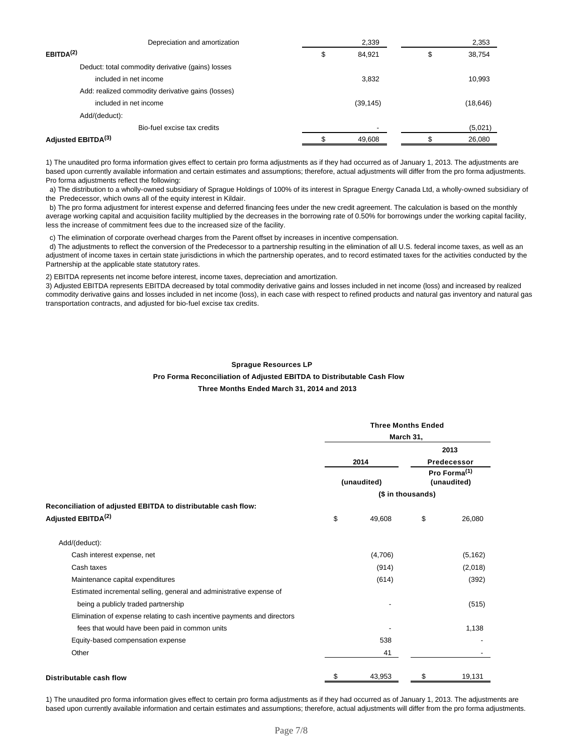| Depreciation and amortization                     | 2,339        | 2,353        |
|---------------------------------------------------|--------------|--------------|
| EBITDA <sup>(2)</sup>                             | \$<br>84,921 | \$<br>38,754 |
| Deduct: total commodity derivative (gains) losses |              |              |
| included in net income                            | 3.832        | 10,993       |
| Add: realized commodity derivative gains (losses) |              |              |
| included in net income                            | (39, 145)    | (18, 646)    |
| Add/(deduct):                                     |              |              |
| Bio-fuel excise tax credits                       |              | (5,021)      |
| Adjusted EBITDA <sup>(3)</sup>                    | 49,608       | 26,080       |

1) The unaudited pro forma information gives effect to certain pro forma adjustments as if they had occurred as of January 1, 2013. The adjustments are based upon currently available information and certain estimates and assumptions; therefore, actual adjustments will differ from the pro forma adjustments. Pro forma adjustments reflect the following:

 a) The distribution to a wholly-owned subsidiary of Sprague Holdings of 100% of its interest in Sprague Energy Canada Ltd, a wholly-owned subsidiary of the Predecessor, which owns all of the equity interest in Kildair.

 b) The pro forma adjustment for interest expense and deferred financing fees under the new credit agreement. The calculation is based on the monthly average working capital and acquisition facility multiplied by the decreases in the borrowing rate of 0.50% for borrowings under the working capital facility, less the increase of commitment fees due to the increased size of the facility.

c) The elimination of corporate overhead charges from the Parent offset by increases in incentive compensation.

 d) The adjustments to reflect the conversion of the Predecessor to a partnership resulting in the elimination of all U.S. federal income taxes, as well as an adjustment of income taxes in certain state jurisdictions in which the partnership operates, and to record estimated taxes for the activities conducted by the Partnership at the applicable state statutory rates.

2) EBITDA represents net income before interest, income taxes, depreciation and amortization.

3) Adjusted EBITDA represents EBITDA decreased by total commodity derivative gains and losses included in net income (loss) and increased by realized commodity derivative gains and losses included in net income (loss), in each case with respect to refined products and natural gas inventory and natural gas transportation contracts, and adjusted for bio-fuel excise tax credits.

#### **Sprague Resources LP**

# **Pro Forma Reconciliation of Adjusted EBITDA to Distributable Cash Flow**

**Three Months Ended March 31, 2014 and 2013** 

|                                                                          | <b>Three Months Ended</b> |             |                                         |          |
|--------------------------------------------------------------------------|---------------------------|-------------|-----------------------------------------|----------|
|                                                                          |                           | March 31,   |                                         |          |
|                                                                          |                           |             |                                         | 2013     |
|                                                                          |                           | 2014        | Predecessor                             |          |
|                                                                          |                           | (unaudited) | Pro Forma <sup>(1)</sup><br>(unaudited) |          |
|                                                                          |                           |             | (\$ in thousands)                       |          |
| Reconciliation of adjusted EBITDA to distributable cash flow:            |                           |             |                                         |          |
| Adjusted EBITDA <sup>(2)</sup>                                           | \$                        | 49,608      | \$                                      | 26,080   |
| Add/(deduct):                                                            |                           |             |                                         |          |
| Cash interest expense, net                                               |                           | (4,706)     |                                         | (5, 162) |
| Cash taxes                                                               |                           | (914)       |                                         | (2,018)  |
| Maintenance capital expenditures                                         |                           | (614)       |                                         | (392)    |
| Estimated incremental selling, general and administrative expense of     |                           |             |                                         |          |
| being a publicly traded partnership                                      |                           |             |                                         | (515)    |
| Elimination of expense relating to cash incentive payments and directors |                           |             |                                         |          |
| fees that would have been paid in common units                           |                           |             |                                         | 1,138    |
| Equity-based compensation expense                                        |                           | 538         |                                         |          |
| Other                                                                    |                           | 41          |                                         |          |
| Distributable cash flow                                                  | \$                        | 43,953      | \$                                      | 19,131   |

1) The unaudited pro forma information gives effect to certain pro forma adjustments as if they had occurred as of January 1, 2013. The adjustments are based upon currently available information and certain estimates and assumptions; therefore, actual adjustments will differ from the pro forma adjustments.